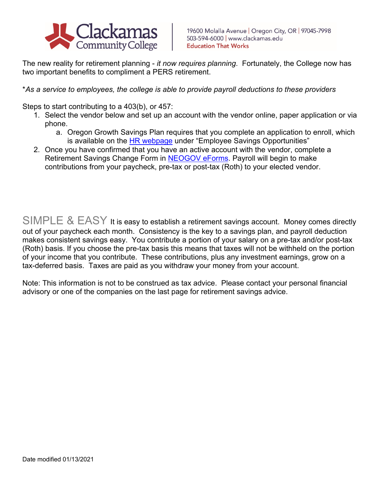

The new reality for retirement planning - *it now requires planning*. Fortunately, the College now has two important benefits to compliment a PERS retirement.

\**As a service to employees, the college is able to provide payroll deductions to these providers*

Steps to start contributing to a 403(b), or 457:

- 1. Select the vendor below and set up an account with the vendor online, paper application or via phone.
	- a. Oregon Growth Savings Plan requires that you complete an application to enroll, which is available on the **HR webpage** under "Employee Savings Opportunities"
- 2. Once you have confirmed that you have an active account with the vendor, complete a Retirement Savings Change Form in [NEOGOV eForms.](https://eforms.neogov.com/) Payroll will begin to make contributions from your paycheck, pre-tax or post-tax (Roth) to your elected vendor.

SIMPLE & EASY It is easy to establish a retirement savings account. Money comes directly out of your paycheck each month. Consistency is the key to a savings plan, and payroll deduction makes consistent savings easy. You contribute a portion of your salary on a pre-tax and/or post-tax (Roth) basis. If you choose the pre-tax basis this means that taxes will not be withheld on the portion of your income that you contribute. These contributions, plus any investment earnings, grow on a tax-deferred basis. Taxes are paid as you withdraw your money from your account.

Note: This information is not to be construed as tax advice. Please contact your personal financial advisory or one of the companies on the last page for retirement savings advice.